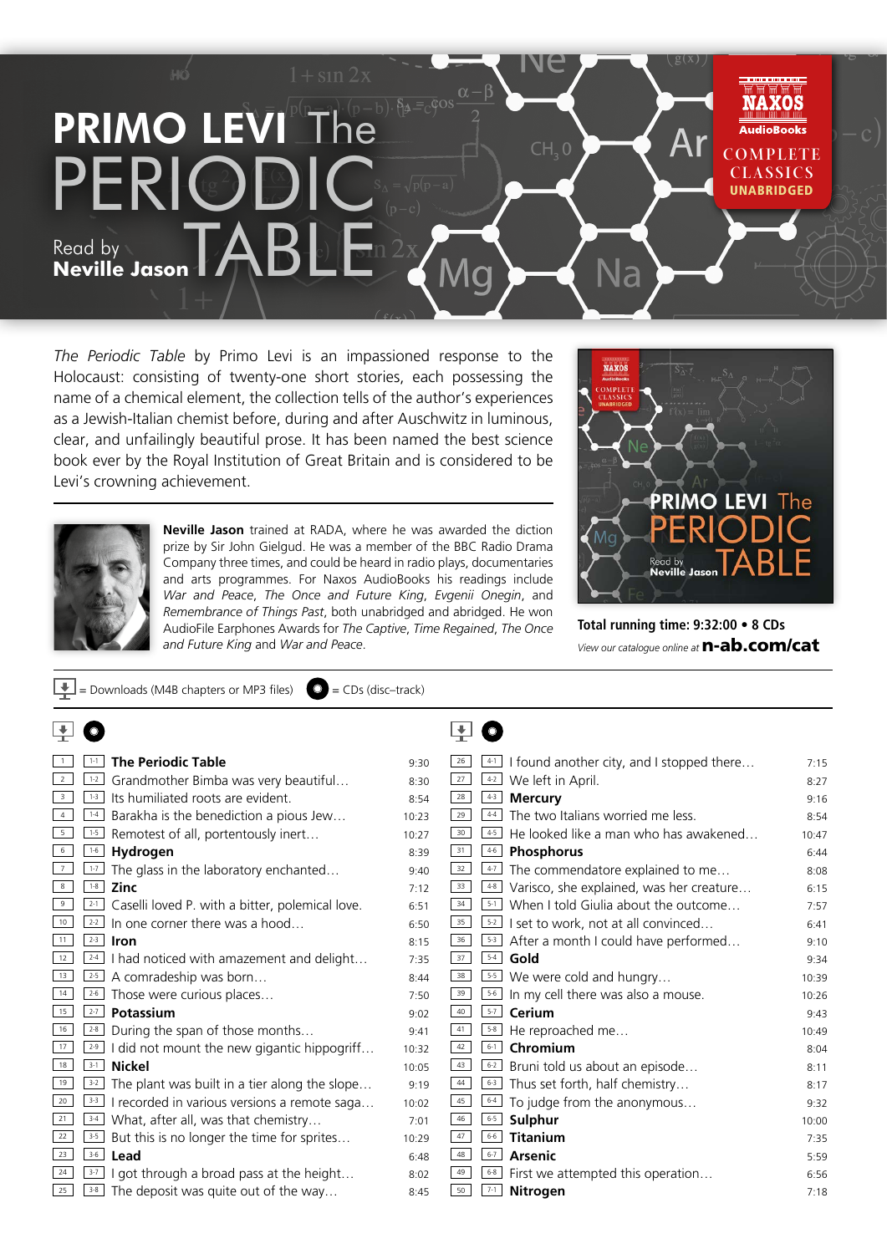

*The Periodic Table* by Primo Levi is an impassioned response to the Holocaust: consisting of twenty-one short stories, each possessing the name of a chemical element, the collection tells of the author's experiences as a Jewish-Italian chemist before, during and after Auschwitz in luminous, clear, and unfailingly beautiful prose. It has been named the best science book ever by the Royal Institution of Great Britain and is considered to be Levi's crowning achievement.



**Neville Jason** trained at RADA, where he was awarded the diction prize by Sir John Gielgud. He was a member of the BBC Radio Drama Company three times, and could be heard in radio plays, documentaries and arts programmes. For Naxos AudioBooks his readings include *War and Peace*, *The Once and Future King*, *Evgenii Onegin*, and *Remembrance of Things Past*, both unabridged and abridged. He won AudioFile Earphones Awards for *The Captive*, *Time Regained*, *The Once and Future King* and *War and Peace*.



**Total running time: 9:32:00 • 8 CDs** *View our catalogue online at* **n-ab.com/cat** 

| <b>The Periodic Table</b><br>$1 - 1$                       | 9:30  | $\frac{41}{1}$ I found another city, and I stopped there<br>26 | 7:15  |
|------------------------------------------------------------|-------|----------------------------------------------------------------|-------|
| $\frac{1}{2}$ Grandmother Bimba was very beautiful         | 8:30  | 27<br>$42$ We left in April.                                   | 8:27  |
| Its humiliated roots are evident.<br>$1-3$                 | 8:54  | 28<br>$4-3$<br><b>Mercury</b>                                  | 9:16  |
| $1-4$<br>Barakha is the benediction a pious Jew            | 10:23 | The two Italians worried me less.<br>29<br>$4-4$               | 8:54  |
| $1 - 5$<br>Remotest of all, portentously inert             | 10:27 | 30<br>$4-5$<br>He looked like a man who has awakened           | 10:47 |
| $1-6$<br>Hydrogen                                          | 8:39  | 31<br>46 Phosphorus                                            | 6:44  |
| $1 - 7$<br>The glass in the laboratory enchanted           | 9:40  | 32<br>$4-7$<br>The commendatore explained to me                | 8:08  |
| $1 - 8$<br><b>Zinc</b>                                     | 7:12  | 33<br>$48$ Varisco, she explained, was her creature            | 6:15  |
| $2 - 1$<br>Caselli loved P. with a bitter, polemical love. | 6:51  | $5-1$ When I told Giulia about the outcome<br>34               | 7:57  |
| $2 - 2$<br>In one corner there was a hood                  | 6:50  | 35<br>$5-2$ I set to work, not at all convinced                | 6:41  |
| $2 - 3$<br>Iron                                            | 8:15  | 36<br>$\frac{5-3}{2}$ After a month I could have performed     | 9:10  |
| $2-4$<br>I had noticed with amazement and delight          | 7:35  | 37<br>$5-4$<br>Gold                                            | 9:34  |
| $2-5$<br>A comradeship was born                            | 8:44  | $\overline{\phantom{1}55}$ We were cold and hungry<br>38       | 10:39 |
| Those were curious places<br>$2 - 6$                       | 7:50  | 39<br>5.6 In my cell there was also a mouse.                   | 10:26 |
| $2 - 7$<br>Potassium                                       | 9:02  | 40<br>$\overline{\phantom{a}}^{57}$ Cerium                     | 9:43  |
| $2 - 8$<br>During the span of those months                 | 9:41  | 41<br>$5-8$<br>He reproached me                                | 10:49 |
| $2-9$<br>I did not mount the new gigantic hippogriff       | 10:32 | Chromium<br>42<br>$6 - 1$                                      | 8:04  |
| $3-1$<br><b>Nickel</b>                                     | 10:05 | 43<br>$6-2$ Bruni told us about an episode                     | 8:11  |
| $3-2$<br>The plant was built in a tier along the slope     | 9:19  | 44<br>$\frac{6\cdot3}{2}$ Thus set forth, half chemistry       | 8:17  |
| $3-3$<br>I recorded in various versions a remote saga      | 10:02 | 45<br>$6 - 4$<br>To judge from the anonymous                   | 9:32  |
| $3-4$<br>What, after all, was that chemistry               | 7:01  | 46<br>$6 - 5$<br>Sulphur                                       | 10:00 |
| $3-5$<br>But this is no longer the time for sprites        | 10:29 | 47<br>$6 - 6$<br><b>Titanium</b>                               | 7:35  |
| $3-6$<br>Lead                                              | 6:48  | 48<br>$6 - 7$<br><b>Arsenic</b>                                | 5:59  |
| $3-7$<br>I got through a broad pass at the height          | 8:02  | 49<br>$\boxed{6.8}$ First we attempted this operation          | 6:56  |
| $3 - 8$<br>The deposit was quite out of the way            | 8:45  | 50<br>$7 - 1$<br>Nitrogen                                      | 7:18  |